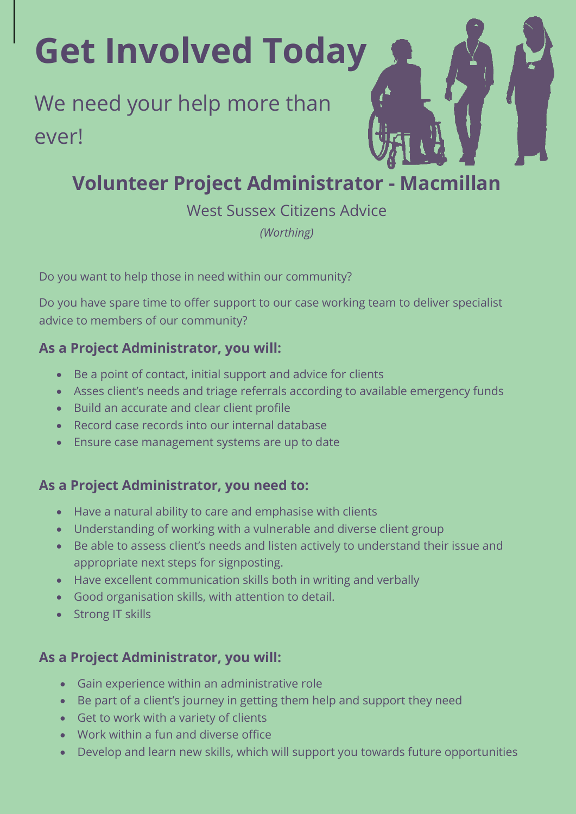# **Get Involved Today**

## We need your help more than ever!

### **Volunteer Project Administrator - Macmillan**

West Sussex Citizens Advice

*(Worthing)*

Do you want to help those in need within our community?

Do you have spare time to offer support to our case working team to deliver specialist advice to members of our community?

#### **As a Project Administrator, you will:**

- Be a point of contact, initial support and advice for clients
- Asses client's needs and triage referrals according to available emergency funds
- Build an accurate and clear client profile
- Record case records into our internal database
- Ensure case management systems are up to date

#### **As a Project Administrator, you need to:**

- Have a natural ability to care and emphasise with clients
- Understanding of working with a vulnerable and diverse client group
- Be able to assess client's needs and listen actively to understand their issue and appropriate next steps for signposting.
- Have excellent communication skills both in writing and verbally
- Good organisation skills, with attention to detail.
- Strong IT skills

#### **As a Project Administrator, you will:**

- Gain experience within an administrative role
- Be part of a client's journey in getting them help and support they need
- Get to work with a variety of clients
- Work within a fun and diverse office
- Develop and learn new skills, which will support you towards future opportunities